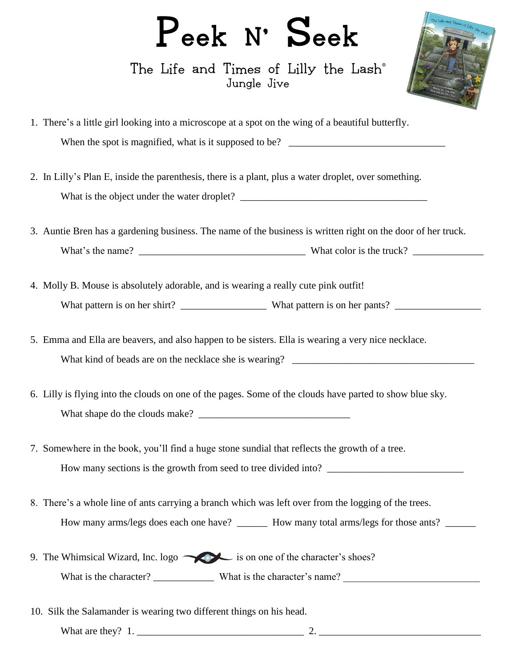## Peek N' Seek

The Life and Times of Lilly the Lash<sup>®</sup> Jungle Jive



| 1. There's a little girl looking into a microscope at a spot on the wing of a beautiful butterfly. |
|----------------------------------------------------------------------------------------------------|
| When the spot is magnified, what is it supposed to be?                                             |

- 2. In Lilly's Plan E, inside the parenthesis, there is a plant, plus a water droplet, over something. What is the object under the water droplet? \_\_\_\_\_\_\_\_\_\_\_\_\_\_\_\_\_\_\_\_\_\_\_\_\_\_\_\_\_\_\_\_\_\_\_\_\_
- 3. Auntie Bren has a gardening business. The name of the business is written right on the door of her truck. What's the name? \_\_\_\_\_\_\_\_\_\_\_\_\_\_\_\_\_\_\_\_\_\_\_\_\_\_\_\_\_\_\_\_\_ What color is the truck? \_\_\_\_\_\_\_\_\_\_\_\_\_\_
- 4. Molly B. Mouse is absolutely adorable, and is wearing a really cute pink outfit! What pattern is on her shirt? \_\_\_\_\_\_\_\_\_\_\_\_\_\_\_\_\_ What pattern is on her pants? \_\_\_\_\_\_\_\_\_\_\_\_\_\_\_\_\_
- 5. Emma and Ella are beavers, and also happen to be sisters. Ella is wearing a very nice necklace. What kind of beads are on the necklace she is wearing? \_\_\_\_\_\_\_\_\_\_\_\_\_\_\_\_\_\_\_\_\_\_\_\_\_\_\_\_\_\_\_\_\_\_\_\_
- 6. Lilly is flying into the clouds on one of the pages. Some of the clouds have parted to show blue sky. What shape do the clouds make?
- 7. Somewhere in the book, you'll find a huge stone sundial that reflects the growth of a tree. How many sections is the growth from seed to tree divided into? \_\_\_\_\_\_\_\_\_\_\_\_\_\_\_\_\_\_\_\_\_\_\_\_\_\_\_
- 8. There's a whole line of ants carrying a branch which was left over from the logging of the trees. How many arms/legs does each one have? \_\_\_\_\_\_\_ How many total arms/legs for those ants? \_\_\_\_\_\_
- 9. The Whimsical Wizard, Inc.  $logo$  is on one of the character's shoes? What is the character? \_\_\_\_\_\_\_\_\_\_\_\_ What is the character's name? \_\_\_\_\_\_\_\_\_\_\_\_\_\_\_\_\_\_\_\_\_\_\_\_\_\_\_
- 10. Silk the Salamander is wearing two different things on his head.

What are they? 1. \_\_\_\_\_\_\_\_\_\_\_\_\_\_\_\_\_\_\_\_\_\_\_\_\_\_\_\_\_\_\_\_\_ 2. \_\_\_\_\_\_\_\_\_\_\_\_\_\_\_\_\_\_\_\_\_\_\_\_\_\_\_\_\_\_\_\_